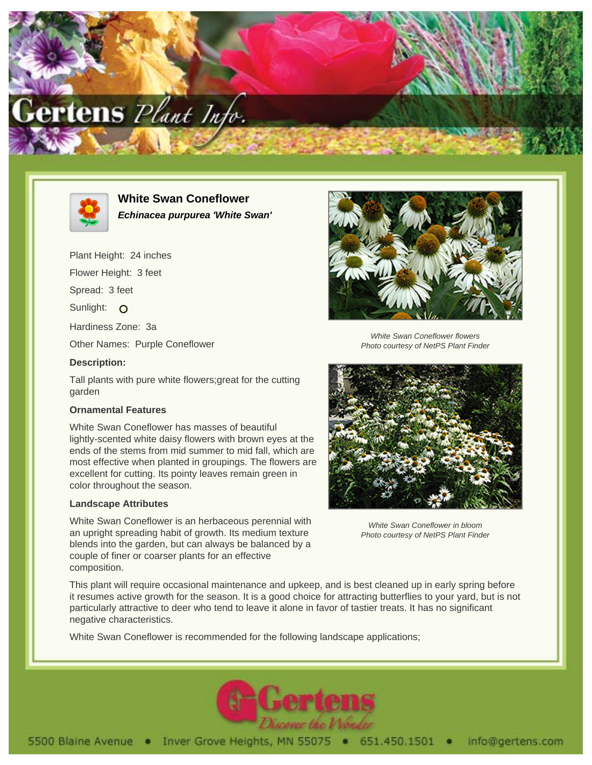



**White Swan Coneflower Echinacea purpurea 'White Swan'**

Plant Height: 24 inches

Flower Height: 3 feet

Spread: 3 feet

Sunlight: O

Hardiness Zone: 3a

Other Names: Purple Coneflower

## **Description:**

Tall plants with pure white flowers;great for the cutting garden

## **Ornamental Features**

White Swan Coneflower has masses of beautiful lightly-scented white daisy flowers with brown eyes at the ends of the stems from mid summer to mid fall, which are most effective when planted in groupings. The flowers are excellent for cutting. Its pointy leaves remain green in color throughout the season.

## **Landscape Attributes**

White Swan Coneflower is an herbaceous perennial with an upright spreading habit of growth. Its medium texture blends into the garden, but can always be balanced by a couple of finer or coarser plants for an effective composition.



White Swan Coneflower flowers Photo courtesy of NetPS Plant Finder



White Swan Coneflower in bloom Photo courtesy of NetPS Plant Finder

This plant will require occasional maintenance and upkeep, and is best cleaned up in early spring before it resumes active growth for the season. It is a good choice for attracting butterflies to your yard, but is not particularly attractive to deer who tend to leave it alone in favor of tastier treats. It has no significant negative characteristics.

White Swan Coneflower is recommended for the following landscape applications;